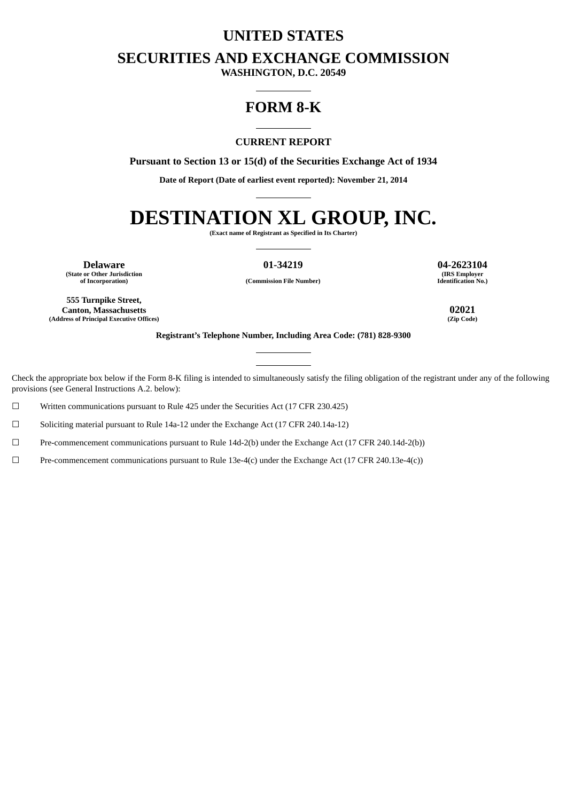# **UNITED STATES**

# **SECURITIES AND EXCHANGE COMMISSION**

**WASHINGTON, D.C. 20549**

# **FORM 8-K**

## **CURRENT REPORT**

**Pursuant to Section 13 or 15(d) of the Securities Exchange Act of 1934**

**Date of Report (Date of earliest event reported): November 21, 2014**

# **DESTINATION XL GROUP, INC.**

**(Exact name of Registrant as Specified in Its Charter)**

**(State or Other Jurisdiction**

**of Incorporation) (Commission File Number)**

**Delaware 01-34219 04-2623104 (IRS Employer Identification No.)**

**555 Turnpike Street, Canton, Massachusetts 02021 (Address of Principal Executive Offices) (Zip Code)**

**Registrant's Telephone Number, Including Area Code: (781) 828-9300**

Check the appropriate box below if the Form 8-K filing is intended to simultaneously satisfy the filing obligation of the registrant under any of the following provisions (see General Instructions A.2. below):

☐ Written communications pursuant to Rule 425 under the Securities Act (17 CFR 230.425)

☐ Soliciting material pursuant to Rule 14a-12 under the Exchange Act (17 CFR 240.14a-12)

☐ Pre-commencement communications pursuant to Rule 14d-2(b) under the Exchange Act (17 CFR 240.14d-2(b))

☐ Pre-commencement communications pursuant to Rule 13e-4(c) under the Exchange Act (17 CFR 240.13e-4(c))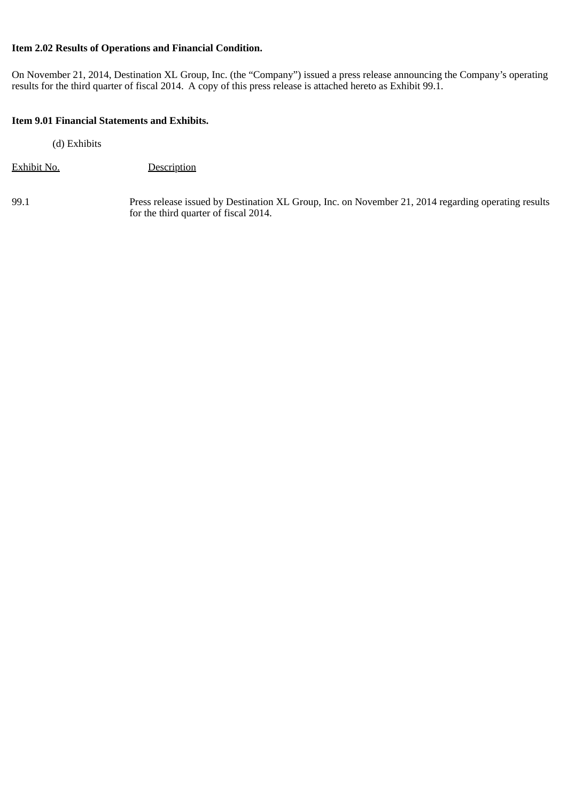## **Item 2.02 Results of Operations and Financial Condition.**

On November 21, 2014, Destination XL Group, Inc. (the "Company") issued a press release announcing the Company's operating results for the third quarter of fiscal 2014. A copy of this press release is attached hereto as Exhibit 99.1.

## **Item 9.01 Financial Statements and Exhibits.**

(d) Exhibits

Exhibit No. Description

99.1 Press release issued by Destination XL Group, Inc. on November 21, 2014 regarding operating results for the third quarter of fiscal 2014.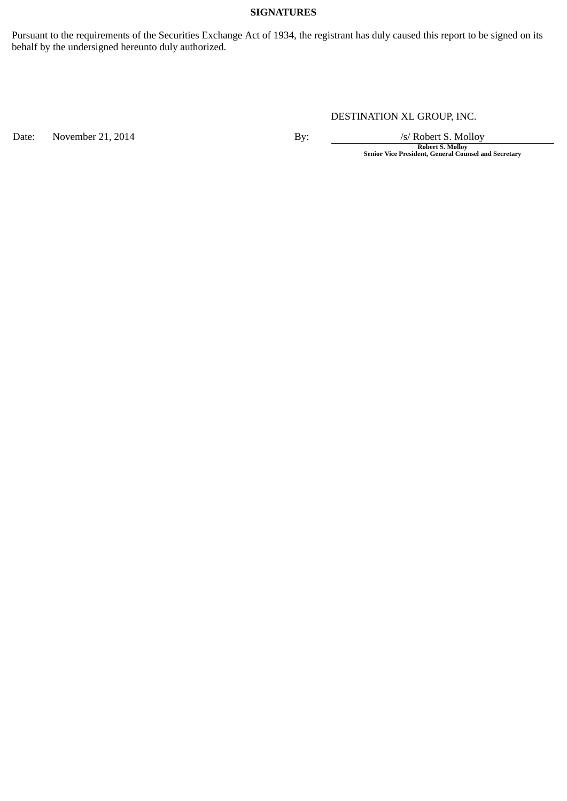## **SIGNATURES**

Pursuant to the requirements of the Securities Exchange Act of 1934, the registrant has duly caused this report to be signed on its behalf by the undersigned hereunto duly authorized.

# DESTINATION XL GROUP, INC.

Date: November 21, 2014 By: By: /s/ Robert S. Molloy

**Robert S. Molloy Senior Vice President, General Counsel and Secretary**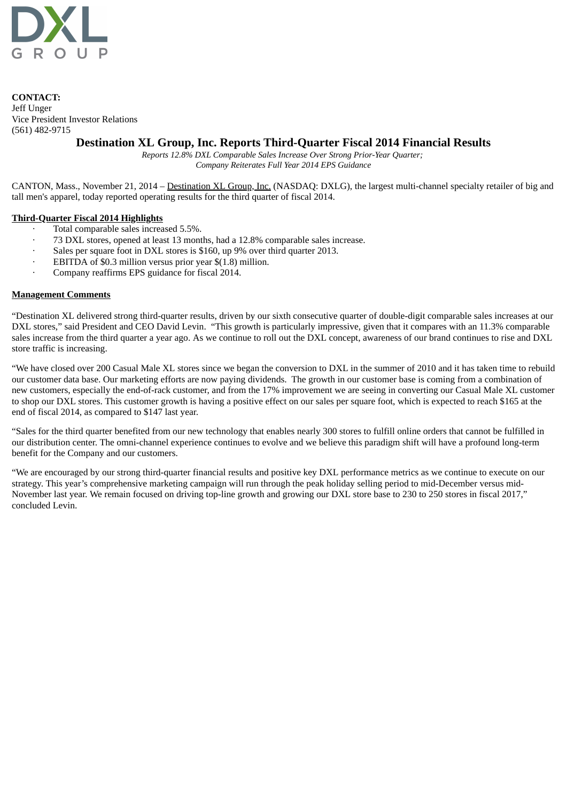

**CONTACT:** Jeff Unger Vice President Investor Relations (561) 482-9715

# **Destination XL Group, Inc. Reports Third-Quarter Fiscal 2014 Financial Results**

*Reports 12.8% DXL Comparable Sales Increase Over Strong Prior-Year Quarter; Company Reiterates Full Year 2014 EPS Guidance*

CANTON, Mass., November 21, 2014 – Destination XL Group, Inc. (NASDAQ: DXLG), the largest multi-channel specialty retailer of big and tall men's apparel, today reported operating results for the third quarter of fiscal 2014.

#### **Third-Quarter Fiscal 2014 Highlights**

- · Total comparable sales increased 5.5%.
- · 73 DXL stores, opened at least 13 months, had a 12.8% comparable sales increase.
- · Sales per square foot in DXL stores is \$160, up 9% over third quarter 2013.
- EBITDA of \$0.3 million versus prior year \$(1.8) million.
- · Company reaffirms EPS guidance for fiscal 2014.

#### **Management Comments**

"Destination XL delivered strong third-quarter results, driven by our sixth consecutive quarter of double-digit comparable sales increases at our DXL stores," said President and CEO David Levin. "This growth is particularly impressive, given that it compares with an 11.3% comparable sales increase from the third quarter a year ago. As we continue to roll out the DXL concept, awareness of our brand continues to rise and DXL store traffic is increasing.

"We have closed over 200 Casual Male XL stores since we began the conversion to DXL in the summer of 2010 and it has taken time to rebuild our customer data base. Our marketing efforts are now paying dividends. The growth in our customer base is coming from a combination of new customers, especially the end-of-rack customer, and from the 17% improvement we are seeing in converting our Casual Male XL customer to shop our DXL stores. This customer growth is having a positive effect on our sales per square foot, which is expected to reach \$165 at the end of fiscal 2014, as compared to \$147 last year.

"Sales for the third quarter benefited from our new technology that enables nearly 300 stores to fulfill online orders that cannot be fulfilled in our distribution center. The omni-channel experience continues to evolve and we believe this paradigm shift will have a profound long-term benefit for the Company and our customers.

"We are encouraged by our strong third-quarter financial results and positive key DXL performance metrics as we continue to execute on our strategy. This year's comprehensive marketing campaign will run through the peak holiday selling period to mid-December versus mid-November last year. We remain focused on driving top-line growth and growing our DXL store base to 230 to 250 stores in fiscal 2017," concluded Levin.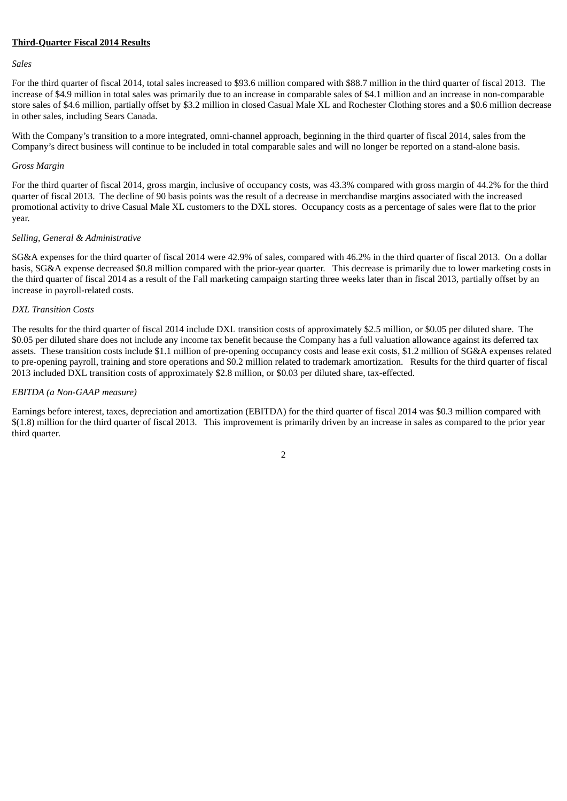#### **Third-Quarter Fiscal 2014 Results**

#### *Sales*

For the third quarter of fiscal 2014, total sales increased to \$93.6 million compared with \$88.7 million in the third quarter of fiscal 2013. The increase of \$4.9 million in total sales was primarily due to an increase in comparable sales of \$4.1 million and an increase in non-comparable store sales of \$4.6 million, partially offset by \$3.2 million in closed Casual Male XL and Rochester Clothing stores and a \$0.6 million decrease in other sales, including Sears Canada.

With the Company's transition to a more integrated, omni-channel approach, beginning in the third quarter of fiscal 2014, sales from the Company's direct business will continue to be included in total comparable sales and will no longer be reported on a stand-alone basis.

#### *Gross Margin*

For the third quarter of fiscal 2014, gross margin, inclusive of occupancy costs, was 43.3% compared with gross margin of 44.2% for the third quarter of fiscal 2013. The decline of 90 basis points was the result of a decrease in merchandise margins associated with the increased promotional activity to drive Casual Male XL customers to the DXL stores. Occupancy costs as a percentage of sales were flat to the prior year.

#### *Selling, General & Administrative*

SG&A expenses for the third quarter of fiscal 2014 were 42.9% of sales, compared with 46.2% in the third quarter of fiscal 2013. On a dollar basis, SG&A expense decreased \$0.8 million compared with the prior-year quarter. This decrease is primarily due to lower marketing costs in the third quarter of fiscal 2014 as a result of the Fall marketing campaign starting three weeks later than in fiscal 2013, partially offset by an increase in payroll-related costs.

#### *DXL Transition Costs*

The results for the third quarter of fiscal 2014 include DXL transition costs of approximately \$2.5 million, or \$0.05 per diluted share. The \$0.05 per diluted share does not include any income tax benefit because the Company has a full valuation allowance against its deferred tax assets. These transition costs include \$1.1 million of pre-opening occupancy costs and lease exit costs, \$1.2 million of SG&A expenses related to pre-opening payroll, training and store operations and \$0.2 million related to trademark amortization. Results for the third quarter of fiscal 2013 included DXL transition costs of approximately \$2.8 million, or \$0.03 per diluted share, tax-effected.

#### *EBITDA (a Non-GAAP measure)*

Earnings before interest, taxes, depreciation and amortization (EBITDA) for the third quarter of fiscal 2014 was \$0.3 million compared with \$(1.8) million for the third quarter of fiscal 2013. This improvement is primarily driven by an increase in sales as compared to the prior year third quarter.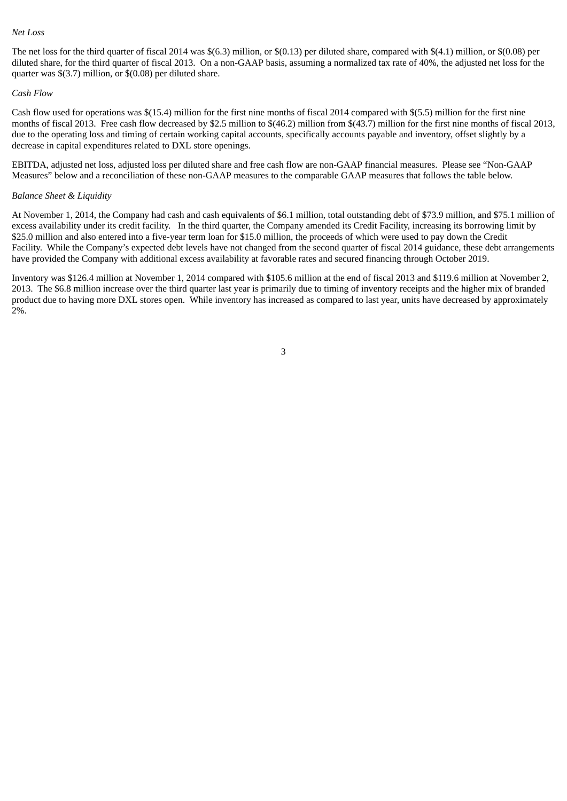#### *Net Loss*

The net loss for the third quarter of fiscal 2014 was \$(6.3) million, or \$(0.13) per diluted share, compared with \$(4.1) million, or \$(0.08) per diluted share, for the third quarter of fiscal 2013. On a non-GAAP basis, assuming a normalized tax rate of 40%, the adjusted net loss for the quarter was \$(3.7) million, or \$(0.08) per diluted share.

#### *Cash Flow*

Cash flow used for operations was \$(15.4) million for the first nine months of fiscal 2014 compared with \$(5.5) million for the first nine months of fiscal 2013. Free cash flow decreased by \$2.5 million to \$(46.2) million from \$(43.7) million for the first nine months of fiscal 2013, due to the operating loss and timing of certain working capital accounts, specifically accounts payable and inventory, offset slightly by a decrease in capital expenditures related to DXL store openings.

EBITDA, adjusted net loss, adjusted loss per diluted share and free cash flow are non-GAAP financial measures. Please see "Non-GAAP Measures" below and a reconciliation of these non-GAAP measures to the comparable GAAP measures that follows the table below.

#### *Balance Sheet & Liquidity*

At November 1, 2014, the Company had cash and cash equivalents of \$6.1 million, total outstanding debt of \$73.9 million, and \$75.1 million of excess availability under its credit facility. In the third quarter, the Company amended its Credit Facility, increasing its borrowing limit by \$25.0 million and also entered into a five-year term loan for \$15.0 million, the proceeds of which were used to pay down the Credit Facility. While the Company's expected debt levels have not changed from the second quarter of fiscal 2014 guidance, these debt arrangements have provided the Company with additional excess availability at favorable rates and secured financing through October 2019.

Inventory was \$126.4 million at November 1, 2014 compared with \$105.6 million at the end of fiscal 2013 and \$119.6 million at November 2, 2013. The \$6.8 million increase over the third quarter last year is primarily due to timing of inventory receipts and the higher mix of branded product due to having more DXL stores open. While inventory has increased as compared to last year, units have decreased by approximately 2%.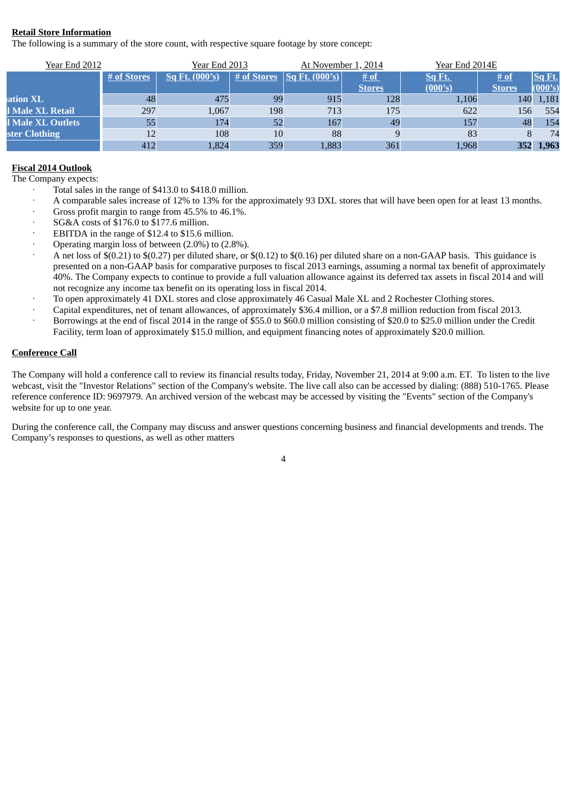## **Retail Store Information**

The following is a summary of the store count, with respective square footage by store concept:

| <b>Year End 2012</b> |             | <b>Year End 2013</b> |             | Year End 2014E<br>At November 1, 2014    |               |               |               |         |
|----------------------|-------------|----------------------|-------------|------------------------------------------|---------------|---------------|---------------|---------|
|                      | # of Stores | $Sq$ Ft. $(000's)$   | # of Stores | $\sqrt{\frac{\text{Sq Ft. (000's)}}{n}}$ | # of          | <u>Sq Ft.</u> | # of          | Sq Ft.  |
|                      |             |                      |             |                                          | <b>Stores</b> | (000's)       | <b>Stores</b> | (000's) |
| ation <b>XL</b>      | 48          | 475                  | 99          | 915                                      | 128           | 1,106         | 140           | 1,181   |
| l Male XL Retail     | 297         | 1,067                | 198         | 713                                      | 175           | 622           | 156           | 554     |
| l Male XL Outlets    | 55          | 174                  | 52          | 167                                      | 49            | 157           | 48            | 154     |
| ster Clothing        |             | 108                  | 10          | 88                                       |               | 83            |               | 74      |
|                      | 412         | 1,824                | 359         | 1,883                                    | 361           | 1,968         | 352           | 1,963   |

# **Fiscal 2014 Outlook**

- The Company expects:
	- Total sales in the range of \$413.0 to \$418.0 million.
	- · A comparable sales increase of 12% to 13% for the approximately 93 DXL stores that will have been open for at least 13 months.
	- · Gross profit margin to range from 45.5% to 46.1%.
	- · SG&A costs of \$176.0 to \$177.6 million.
	- EBITDA in the range of \$12.4 to \$15.6 million.
	- · Operating margin loss of between (2.0%) to (2.8%).
	- · A net loss of \$(0.21) to \$(0.27) per diluted share, or \$(0.12) to \$(0.16) per diluted share on a non-GAAP basis. This guidance is presented on a non-GAAP basis for comparative purposes to fiscal 2013 earnings, assuming a normal tax benefit of approximately 40%. The Company expects to continue to provide a full valuation allowance against its deferred tax assets in fiscal 2014 and will not recognize any income tax benefit on its operating loss in fiscal 2014.
	- · To open approximately 41 DXL stores and close approximately 46 Casual Male XL and 2 Rochester Clothing stores.
	- · Capital expenditures, net of tenant allowances, of approximately \$36.4 million, or a \$7.8 million reduction from fiscal 2013.
	- · Borrowings at the end of fiscal 2014 in the range of \$55.0 to \$60.0 million consisting of \$20.0 to \$25.0 million under the Credit Facility, term loan of approximately \$15.0 million, and equipment financing notes of approximately \$20.0 million.

#### **Conference Call**

The Company will hold a conference call to review its financial results today, Friday, November 21, 2014 at 9:00 a.m. ET. To listen to the live webcast, visit the "Investor Relations" section of the Company's website. The live call also can be accessed by dialing: (888) 510-1765. Please reference conference ID: 9697979. An archived version of the webcast may be accessed by visiting the "Events" section of the Company's website for up to one year.

During the conference call, the Company may discuss and answer questions concerning business and financial developments and trends. The Company's responses to questions, as well as other matters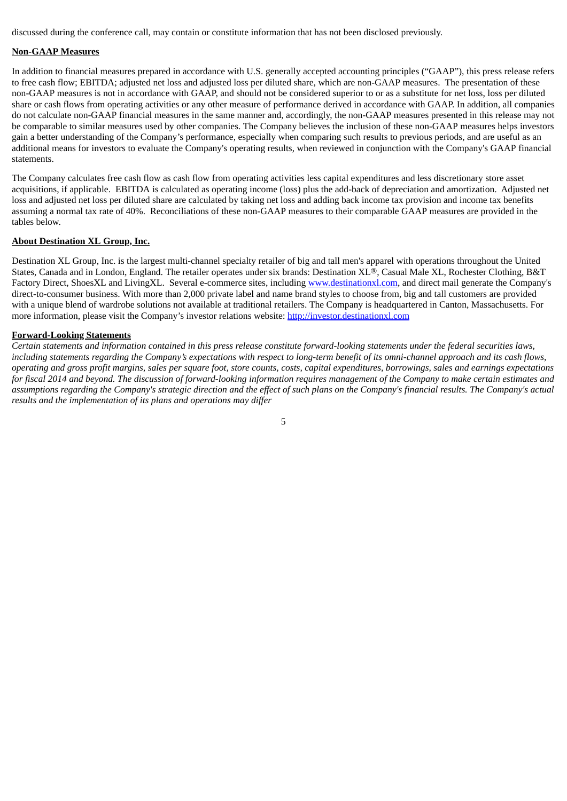discussed during the conference call, may contain or constitute information that has not been disclosed previously.

#### **Non-GAAP Measures**

In addition to financial measures prepared in accordance with U.S. generally accepted accounting principles ("GAAP"), this press release refers to free cash flow; EBITDA; adjusted net loss and adjusted loss per diluted share, which are non-GAAP measures. The presentation of these non-GAAP measures is not in accordance with GAAP, and should not be considered superior to or as a substitute for net loss, loss per diluted share or cash flows from operating activities or any other measure of performance derived in accordance with GAAP. In addition, all companies do not calculate non-GAAP financial measures in the same manner and, accordingly, the non-GAAP measures presented in this release may not be comparable to similar measures used by other companies. The Company believes the inclusion of these non-GAAP measures helps investors gain a better understanding of the Company's performance, especially when comparing such results to previous periods, and are useful as an additional means for investors to evaluate the Company's operating results, when reviewed in conjunction with the Company's GAAP financial statements.

The Company calculates free cash flow as cash flow from operating activities less capital expenditures and less discretionary store asset acquisitions, if applicable. EBITDA is calculated as operating income (loss) plus the add-back of depreciation and amortization. Adjusted net loss and adjusted net loss per diluted share are calculated by taking net loss and adding back income tax provision and income tax benefits assuming a normal tax rate of 40%. Reconciliations of these non-GAAP measures to their comparable GAAP measures are provided in the tables below.

#### **About Destination XL Group, Inc.**

Destination XL Group, Inc. is the largest multi-channel specialty retailer of big and tall men's apparel with operations throughout the United States, Canada and in London, England. The retailer operates under six brands: Destination XL®, Casual Male XL, Rochester Clothing, B&T Factory Direct, ShoesXL and LivingXL. Several e-commerce sites, including www.destinationxl.com, and direct mail generate the Company's direct-to-consumer business. With more than 2,000 private label and name brand styles to choose from, big and tall customers are provided with a unique blend of wardrobe solutions not available at traditional retailers. The Company is headquartered in Canton, Massachusetts. For more information, please visit the Company's investor relations website: http://investor.destinationxl.com

#### **Forward-Looking Statements**

Certain statements and information contained in this press release constitute forward-looking statements under the federal securities laws, including statements regarding the Company's expectations with respect to long-term benefit of its omni-channel approach and its cash flows, operating and gross profit margins, sales per square foot, store counts, costs, capital expenditures, borrowings, sales and earnings expectations for fiscal 2014 and beyond. The discussion of forward-looking information requires management of the Company to make certain estimates and assumptions regarding the Company's strategic direction and the effect of such plans on the Company's financial results. The Company's actual *results and the implementation of its plans and operations may differ*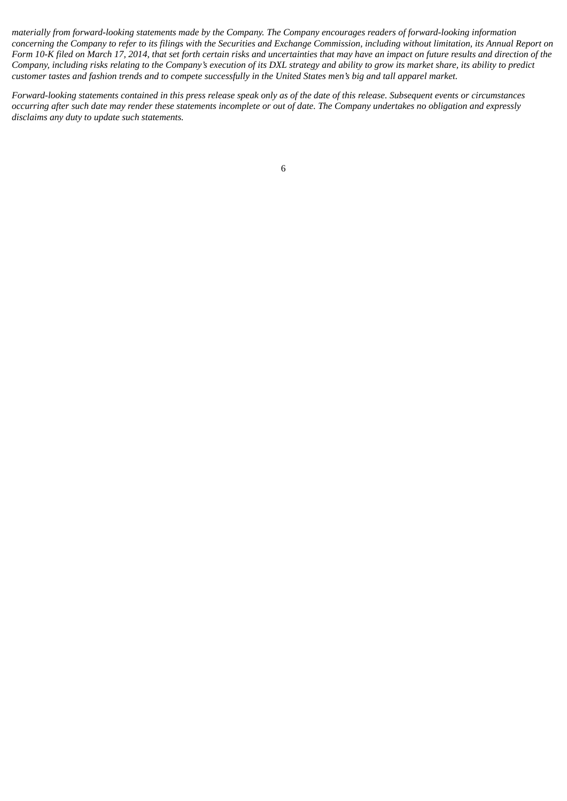materially from forward-looking statements made by the Company. The Company encourages readers of forward-looking information concerning the Company to refer to its filings with the Securities and Exchange Commission, including without limitation, its Annual Report on Form 10-K filed on March 17, 2014, that set forth certain risks and uncertainties that may have an impact on future results and direction of the Company, including risks relating to the Company's execution of its DXL strategy and ability to grow its market share, its ability to predict customer tastes and fashion trends and to compete successfully in the United States men's big and tall apparel market.

Forward-looking statements contained in this press release speak only as of the date of this release. Subsequent events or circumstances occurring after such date may render these statements incomplete or out of date. The Company undertakes no obligation and expressly *disclaims any duty to update such statements.*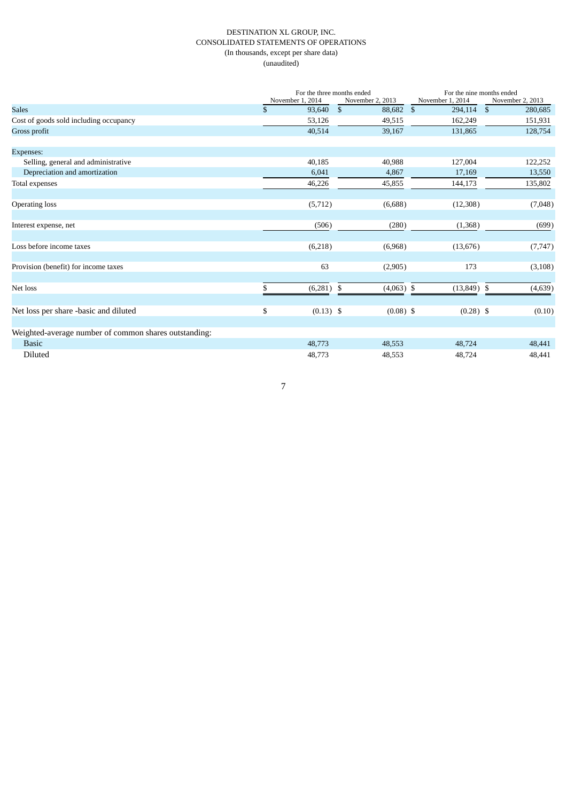#### DESTINATION XL GROUP, INC. CONSOLIDATED STATEMENTS OF OPERATIONS (In thousands, except per share data) (unaudited)

|                                                       |    | For the three months ended |                  | For the nine months ended |                           |  |  |  |  |
|-------------------------------------------------------|----|----------------------------|------------------|---------------------------|---------------------------|--|--|--|--|
|                                                       |    | November 1, 2014           | November 2, 2013 | November 1, 2014          | November 2, 2013          |  |  |  |  |
| <b>Sales</b>                                          | \$ | 93,640                     | \$<br>88,682     | $\mathbb{S}$<br>294,114   | $\mathfrak{S}$<br>280,685 |  |  |  |  |
| Cost of goods sold including occupancy                |    | 53,126                     | 49,515           | 162,249                   | 151,931                   |  |  |  |  |
| Gross profit                                          |    | 40,514                     | 39,167           | 131,865                   | 128,754                   |  |  |  |  |
| Expenses:                                             |    |                            |                  |                           |                           |  |  |  |  |
| Selling, general and administrative                   |    | 40,185                     | 40,988           | 127,004                   | 122,252                   |  |  |  |  |
| Depreciation and amortization                         |    | 6,041                      | 4,867            | 17,169                    | 13,550                    |  |  |  |  |
| Total expenses                                        |    | 46,226                     | 45,855           | 144,173                   | 135,802                   |  |  |  |  |
| Operating loss                                        |    | (5,712)                    | (6,688)          | (12,308)                  | (7,048)                   |  |  |  |  |
| Interest expense, net                                 |    | (506)                      | (280)            | (1,368)                   | (699)                     |  |  |  |  |
| Loss before income taxes                              |    | (6,218)                    | (6,968)          | (13, 676)                 | (7, 747)                  |  |  |  |  |
| Provision (benefit) for income taxes                  |    | 63                         | (2,905)          | 173                       | (3, 108)                  |  |  |  |  |
| Net loss                                              | S  | $(6,281)$ \$               | $(4,063)$ \$     | $(13,849)$ \$             | (4,639)                   |  |  |  |  |
| Net loss per share -basic and diluted                 | \$ | $(0.13)$ \$                | $(0.08)$ \$      | $(0.28)$ \$               | (0.10)                    |  |  |  |  |
| Weighted-average number of common shares outstanding: |    |                            |                  |                           |                           |  |  |  |  |
| <b>Basic</b>                                          |    | 48,773                     | 48,553           | 48,724                    | 48,441                    |  |  |  |  |
| Diluted                                               |    | 48,773                     | 48,553           | 48,724                    | 48,441                    |  |  |  |  |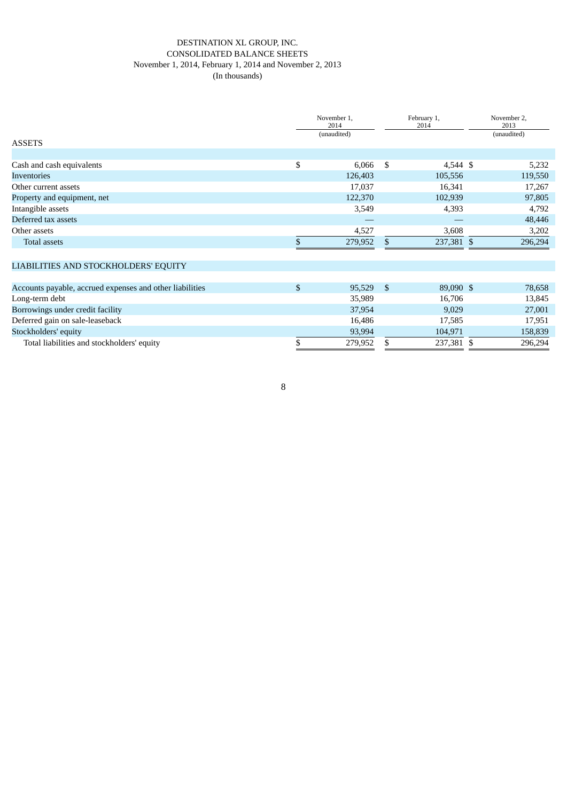#### DESTINATION XL GROUP, INC. CONSOLIDATED BALANCE SHEETS November 1, 2014, February 1, 2014 and November 2, 2013 (In thousands)

|                                                          | November 1,<br>2014<br>(unaudited) |      | February 1,<br>2014 | November 2,<br>2013<br>(unaudited) |
|----------------------------------------------------------|------------------------------------|------|---------------------|------------------------------------|
| <b>ASSETS</b>                                            |                                    |      |                     |                                    |
|                                                          |                                    |      |                     |                                    |
| Cash and cash equivalents                                | \$<br>6,066                        | - \$ | 4,544 \$            | 5,232                              |
| Inventories                                              | 126,403                            |      | 105,556             | 119,550                            |
| Other current assets                                     | 17,037                             |      | 16,341              | 17,267                             |
| Property and equipment, net                              | 122,370                            |      | 102,939             | 97,805                             |
| Intangible assets                                        | 3,549                              |      | 4,393               | 4,792                              |
| Deferred tax assets                                      |                                    |      |                     | 48,446                             |
| Other assets                                             | 4,527                              |      | 3,608               | 3,202                              |
| Total assets                                             | 279,952                            | \$.  | 237,381 \$          | 296,294                            |
|                                                          |                                    |      |                     |                                    |
| LIABILITIES AND STOCKHOLDERS' EQUITY                     |                                    |      |                     |                                    |
|                                                          |                                    |      |                     |                                    |
| Accounts payable, accrued expenses and other liabilities | \$<br>95,529                       | - \$ | 89,090 \$           | 78,658                             |
| $\mathbf{r}$ . The                                       | 25.000                             |      | 10.700              | 40.01                              |

| Long-term debt                             | 35,989  | 16.706     | 13.845  |
|--------------------------------------------|---------|------------|---------|
| Borrowings under credit facility           | 37,954  | 9,029      | 27,001  |
| Deferred gain on sale-leaseback            | 16.486  | 17.585     | 17.951  |
| Stockholders' equity                       | 93,994  | 104.971    | 158.839 |
| Total liabilities and stockholders' equity | 279.952 | 237,381 \$ | 296,294 |